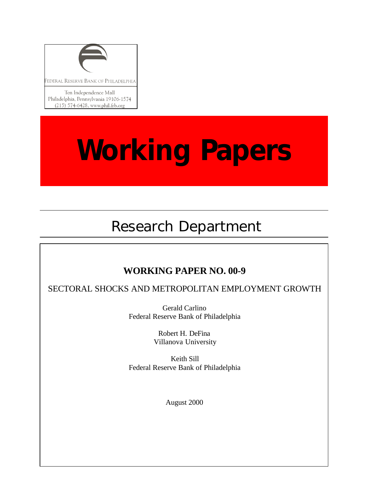

# **Working Papers**

# Research Department

# **WORKING PAPER NO. 00-9**

SECTORAL SHOCKS AND METROPOLITAN EMPLOYMENT GROWTH

Gerald Carlino Federal Reserve Bank of Philadelphia

> Robert H. DeFina Villanova University

Keith Sill Federal Reserve Bank of Philadelphia

August 2000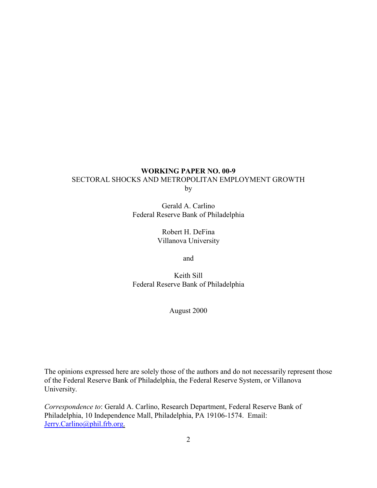#### **WORKING PAPER NO. 00-9** SECTORAL SHOCKS AND METROPOLITAN EMPLOYMENT GROWTH by

Gerald A. Carlino Federal Reserve Bank of Philadelphia

> Robert H. DeFina Villanova University

> > and

Keith Sill Federal Reserve Bank of Philadelphia

August 2000

The opinions expressed here are solely those of the authors and do not necessarily represent those of the Federal Reserve Bank of Philadelphia, the Federal Reserve System, or Villanova University.

*Correspondence to*: Gerald A. Carlino, Research Department, Federal Reserve Bank of Philadelphia, 10 Independence Mall, Philadelphia, PA 19106-1574. Email: Jerry.Carlino@phil.frb.org.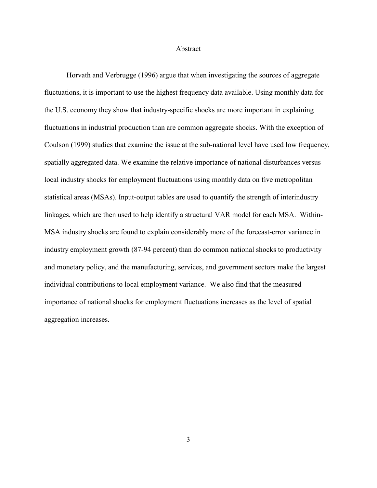#### Abstract

Horvath and Verbrugge (1996) argue that when investigating the sources of aggregate fluctuations, it is important to use the highest frequency data available. Using monthly data for the U.S. economy they show that industry-specific shocks are more important in explaining fluctuations in industrial production than are common aggregate shocks. With the exception of Coulson (1999) studies that examine the issue at the sub-national level have used low frequency, spatially aggregated data. We examine the relative importance of national disturbances versus local industry shocks for employment fluctuations using monthly data on five metropolitan statistical areas (MSAs). Input-output tables are used to quantify the strength of interindustry linkages, which are then used to help identify a structural VAR model for each MSA. Within-MSA industry shocks are found to explain considerably more of the forecast-error variance in industry employment growth (87-94 percent) than do common national shocks to productivity and monetary policy, and the manufacturing, services, and government sectors make the largest individual contributions to local employment variance. We also find that the measured importance of national shocks for employment fluctuations increases as the level of spatial aggregation increases.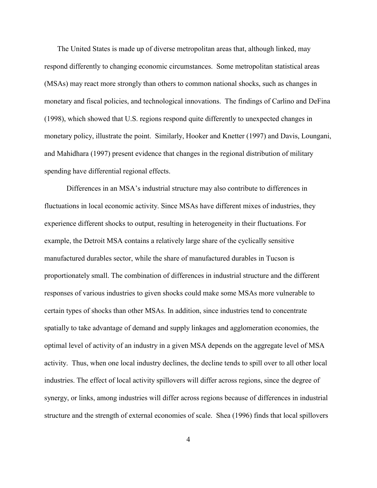The United States is made up of diverse metropolitan areas that, although linked, may respond differently to changing economic circumstances. Some metropolitan statistical areas (MSAs) may react more strongly than others to common national shocks, such as changes in monetary and fiscal policies, and technological innovations. The findings of Carlino and DeFina (1998), which showed that U.S. regions respond quite differently to unexpected changes in monetary policy, illustrate the point. Similarly, Hooker and Knetter (1997) and Davis, Loungani, and Mahidhara (1997) present evidence that changes in the regional distribution of military spending have differential regional effects.

Differences in an MSA's industrial structure may also contribute to differences in fluctuations in local economic activity. Since MSAs have different mixes of industries, they experience different shocks to output, resulting in heterogeneity in their fluctuations. For example, the Detroit MSA contains a relatively large share of the cyclically sensitive manufactured durables sector, while the share of manufactured durables in Tucson is proportionately small. The combination of differences in industrial structure and the different responses of various industries to given shocks could make some MSAs more vulnerable to certain types of shocks than other MSAs. In addition, since industries tend to concentrate spatially to take advantage of demand and supply linkages and agglomeration economies, the optimal level of activity of an industry in a given MSA depends on the aggregate level of MSA activity. Thus, when one local industry declines, the decline tends to spill over to all other local industries. The effect of local activity spillovers will differ across regions, since the degree of synergy, or links, among industries will differ across regions because of differences in industrial structure and the strength of external economies of scale. Shea (1996) finds that local spillovers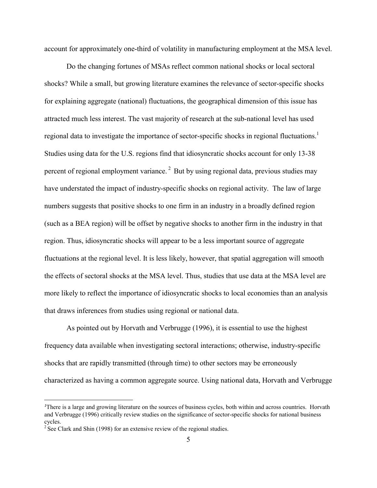account for approximately one-third of volatility in manufacturing employment at the MSA level.

Do the changing fortunes of MSAs reflect common national shocks or local sectoral shocks? While a small, but growing literature examines the relevance of sector-specific shocks for explaining aggregate (national) fluctuations, the geographical dimension of this issue has attracted much less interest. The vast majority of research at the sub-national level has used regional data to investigate the importance of sector-specific shocks in regional fluctuations.<sup>1</sup> Studies using data for the U.S. regions find that idiosyncratic shocks account for only 13-38 percent of regional employment variance.<sup>2</sup> But by using regional data, previous studies may have understated the impact of industry-specific shocks on regional activity. The law of large numbers suggests that positive shocks to one firm in an industry in a broadly defined region (such as a BEA region) will be offset by negative shocks to another firm in the industry in that region. Thus, idiosyncratic shocks will appear to be a less important source of aggregate fluctuations at the regional level. It is less likely, however, that spatial aggregation will smooth the effects of sectoral shocks at the MSA level. Thus, studies that use data at the MSA level are more likely to reflect the importance of idiosyncratic shocks to local economies than an analysis that draws inferences from studies using regional or national data.

As pointed out by Horvath and Verbrugge (1996), it is essential to use the highest frequency data available when investigating sectoral interactions; otherwise, industry-specific shocks that are rapidly transmitted (through time) to other sectors may be erroneously characterized as having a common aggregate source. Using national data, Horvath and Verbrugge

<sup>&</sup>lt;sup>1</sup>There is a large and growing literature on the sources of business cycles, both within and across countries. Horvath and Verbrugge (1996) critically review studies on the significance of sector-specific shocks for national business cycles.

<sup>&</sup>lt;sup>2</sup> See Clark and Shin (1998) for an extensive review of the regional studies.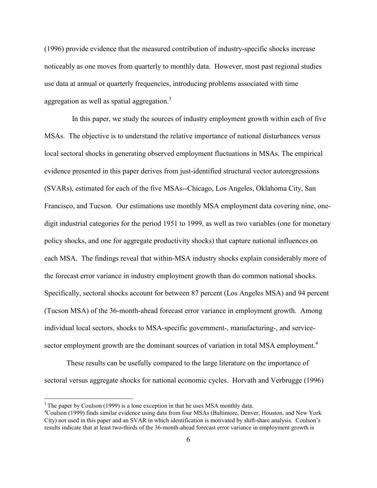(1996) provide evidence that the measured contribution of industry-specific shocks increase noticeably as one moves from quarterly to monthly data. However, most past regional studies use data at annual or quarterly frequencies, introducing problems associated with time aggregation as well as spatial aggregation.<sup>3</sup>

 In this paper, we study the sources of industry employment growth within each of five MSAs. The objective is to understand the relative importance of national disturbances versus local sectoral shocks in generating observed employment fluctuations in MSAs. The empirical evidence presented in this paper derives from just-identified structural vector autoregressions (SVARs), estimated for each of the five MSAs--Chicago, Los Angeles, Oklahoma City, San Francisco, and Tucson. Our estimations use monthly MSA employment data covering nine, onedigit industrial categories for the period 1951 to 1999, as well as two variables (one for monetary policy shocks, and one for aggregate productivity shocks) that capture national influences on each MSA. The findings reveal that within-MSA industry shocks explain considerably more of the forecast error variance in industry employment growth than do common national shocks. Specifically, sectoral shocks account for between 87 percent (Los Angeles MSA) and 94 percent (Tucson MSA) of the 36-month-ahead forecast error variance in employment growth. Among individual local sectors, shocks to MSA-specific government-, manufacturing-, and servicesector employment growth are the dominant sources of variation in total MSA employment.<sup>4</sup>

These results can be usefully compared to the large literature on the importance of sectoral versus aggregate shocks for national economic cycles. Horvath and Verbrugge (1996)

 $3$  The paper by Coulson (1999) is a lone exception in that he uses MSA monthly data.

<sup>4</sup> Coulson (1999) finds similar evidence using data from four MSAs (Baltimore, Denver, Houston, and New York City) not used in this paper and an SVAR in which identification is motivated by shift-share analysis. Coulson's results indicate that at least two-thirds of the 36-month-ahead forecast error variance in employment growth is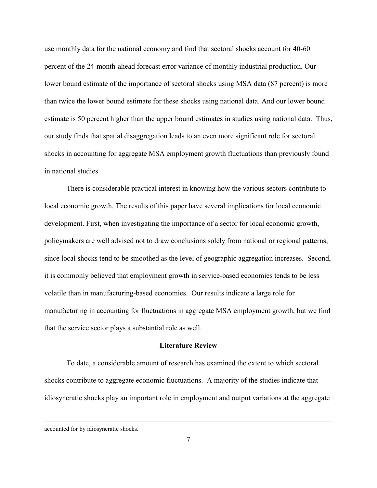use monthly data for the national economy and find that sectoral shocks account for 40-60 percent of the 24-month-ahead forecast error variance of monthly industrial production. Our lower bound estimate of the importance of sectoral shocks using MSA data (87 percent) is more than twice the lower bound estimate for these shocks using national data. And our lower bound estimate is 50 percent higher than the upper bound estimates in studies using national data. Thus, our study finds that spatial disaggregation leads to an even more significant role for sectoral shocks in accounting for aggregate MSA employment growth fluctuations than previously found in national studies.

There is considerable practical interest in knowing how the various sectors contribute to local economic growth. The results of this paper have several implications for local economic development. First, when investigating the importance of a sector for local economic growth, policymakers are well advised not to draw conclusions solely from national or regional patterns, since local shocks tend to be smoothed as the level of geographic aggregation increases. Second, it is commonly believed that employment growth in service-based economies tends to be less volatile than in manufacturing-based economies. Our results indicate a large role for manufacturing in accounting for fluctuations in aggregate MSA employment growth, but we find that the service sector plays a substantial role as well.

#### **Literature Review**

To date, a considerable amount of research has examined the extent to which sectoral shocks contribute to aggregate economic fluctuations. A majority of the studies indicate that idiosyncratic shocks play an important role in employment and output variations at the aggregate

accounted for by idiosyncratic shocks.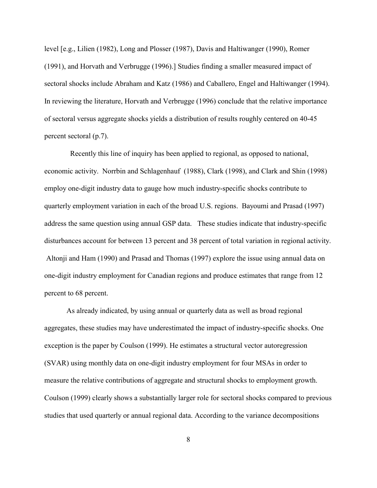level [e.g., Lilien (1982), Long and Plosser (1987), Davis and Haltiwanger (1990), Romer (1991), and Horvath and Verbrugge (1996).] Studies finding a smaller measured impact of sectoral shocks include Abraham and Katz (1986) and Caballero, Engel and Haltiwanger (1994). In reviewing the literature, Horvath and Verbrugge (1996) conclude that the relative importance of sectoral versus aggregate shocks yields a distribution of results roughly centered on 40-45 percent sectoral (p.7).

 Recently this line of inquiry has been applied to regional, as opposed to national, economic activity. Norrbin and Schlagenhauf (1988), Clark (1998), and Clark and Shin (1998) employ one-digit industry data to gauge how much industry-specific shocks contribute to quarterly employment variation in each of the broad U.S. regions. Bayoumi and Prasad (1997) address the same question using annual GSP data. These studies indicate that industry-specific disturbances account for between 13 percent and 38 percent of total variation in regional activity. Altonji and Ham (1990) and Prasad and Thomas (1997) explore the issue using annual data on one-digit industry employment for Canadian regions and produce estimates that range from 12 percent to 68 percent.

As already indicated, by using annual or quarterly data as well as broad regional aggregates, these studies may have underestimated the impact of industry-specific shocks. One exception is the paper by Coulson (1999). He estimates a structural vector autoregression (SVAR) using monthly data on one-digit industry employment for four MSAs in order to measure the relative contributions of aggregate and structural shocks to employment growth. Coulson (1999) clearly shows a substantially larger role for sectoral shocks compared to previous studies that used quarterly or annual regional data. According to the variance decompositions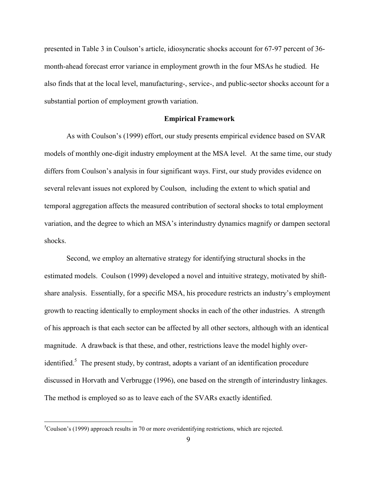presented in Table 3 in Coulson's article, idiosyncratic shocks account for 67-97 percent of 36 month-ahead forecast error variance in employment growth in the four MSAs he studied. He also finds that at the local level, manufacturing-, service-, and public-sector shocks account for a substantial portion of employment growth variation.

#### **Empirical Framework**

As with Coulson's (1999) effort, our study presents empirical evidence based on SVAR models of monthly one-digit industry employment at the MSA level. At the same time, our study differs from Coulson's analysis in four significant ways. First, our study provides evidence on several relevant issues not explored by Coulson, including the extent to which spatial and temporal aggregation affects the measured contribution of sectoral shocks to total employment variation, and the degree to which an MSA's interindustry dynamics magnify or dampen sectoral shocks.

Second, we employ an alternative strategy for identifying structural shocks in the estimated models. Coulson (1999) developed a novel and intuitive strategy, motivated by shiftshare analysis. Essentially, for a specific MSA, his procedure restricts an industry's employment growth to reacting identically to employment shocks in each of the other industries. A strength of his approach is that each sector can be affected by all other sectors, although with an identical magnitude. A drawback is that these, and other, restrictions leave the model highly overidentified.<sup>5</sup> The present study, by contrast, adopts a variant of an identification procedure discussed in Horvath and Verbrugge (1996), one based on the strength of interindustry linkages. The method is employed so as to leave each of the SVARs exactly identified.

 ${}^{5}$ Coulson's (1999) approach results in 70 or more overidentifying restrictions, which are rejected.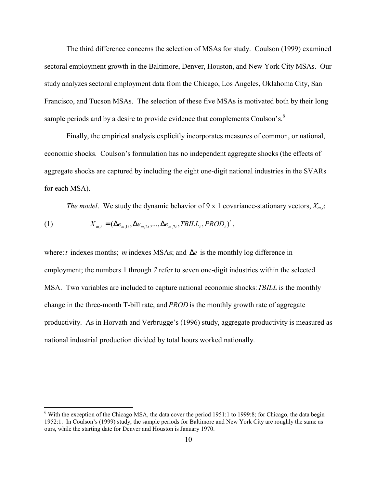The third difference concerns the selection of MSAs for study. Coulson (1999) examined sectoral employment growth in the Baltimore, Denver, Houston, and New York City MSAs. Our study analyzes sectoral employment data from the Chicago, Los Angeles, Oklahoma City, San Francisco, and Tucson MSAs. The selection of these five MSAs is motivated both by their long sample periods and by a desire to provide evidence that complements Coulson's.<sup>6</sup>

Finally, the empirical analysis explicitly incorporates measures of common, or national, economic shocks. Coulson's formulation has no independent aggregate shocks (the effects of aggregate shocks are captured by including the eight one-digit national industries in the SVARs for each MSA).

*The model*. We study the dynamic behavior of 9 x 1 covariance-stationary vectors,  $X_{m,t}$ :

(1) 
$$
X_{m,t} = (\Delta e_{m,1t}, \Delta e_{m,2t}, ..., \Delta e_{m,7t}, TBILL_t, PROD_t)',
$$

 $\overline{a}$ 

where:*t* indexes months; *m* indexes MSAs; and ∆*e* is the monthly log difference in employment; the numbers 1 through *7* refer to seven one-digit industries within the selected MSA. Two variables are included to capture national economic shocks:*TBILL* is the monthly change in the three-month T-bill rate, and *PROD* is the monthly growth rate of aggregate productivity. As in Horvath and Verbrugge's (1996) study, aggregate productivity is measured as national industrial production divided by total hours worked nationally.

 $6$  With the exception of the Chicago MSA, the data cover the period 1951:1 to 1999:8; for Chicago, the data begin 1952:1. In Coulson's (1999) study, the sample periods for Baltimore and New York City are roughly the same as ours, while the starting date for Denver and Houston is January 1970.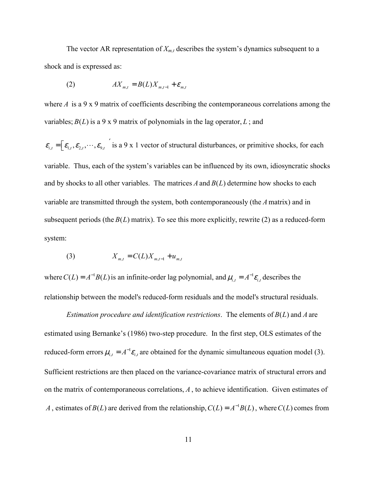The vector AR representation of  $X_{m,t}$  describes the system's dynamics subsequent to a shock and is expressed as:

$$
(2) \t\t A X_{m,t} = B(L)X_{m,t-1} + \varepsilon_{m,t}
$$

where  $A$  is a 9 x 9 matrix of coefficients describing the contemporaneous correlations among the variables;  $B(L)$  is a 9 x 9 matrix of polynomials in the lag operator,  $L$ ; and

 $\mathcal{E}_{i,t} = \left[\mathcal{E}_{1,t}, \mathcal{E}_{2,t}, \cdots, \mathcal{E}_{9,t}\right]$  is a 9 x 1 vector of structural disturbances, or primitive shocks, for each variable. Thus, each of the system's variables can be influenced by its own, idiosyncratic shocks and by shocks to all other variables. The matrices  $A$  and  $B(L)$  determine how shocks to each variable are transmitted through the system, both contemporaneously (the *A* matrix) and in subsequent periods (the  $B(L)$  matrix). To see this more explicitly, rewrite (2) as a reduced-form system:

(3) 
$$
X_{m,t} = C(L)X_{m,t-1} + u_{m,t}
$$

where  $C(L) = A^{-1}B(L)$  is an infinite-order lag polynomial, and  $\mu_{i,t} = A^{-1}\varepsilon_{i,t}$  describes the relationship between the model's reduced-form residuals and the model's structural residuals.

*Estimation procedure and identification restrictions. The elements of*  $B(L)$  *and A are* estimated using Bernanke's (1986) two-step procedure. In the first step, OLS estimates of the reduced-form errors  $\mu_{i,t} = A^{-1} \varepsilon_{i,t}$  are obtained for the dynamic simultaneous equation model (3). Sufficient restrictions are then placed on the variance-covariance matrix of structural errors and on the matrix of contemporaneous correlations, *A* , to achieve identification. Given estimates of *A*, estimates of *B*(*L*) are derived from the relationship,  $C(L) = A^{-1}B(L)$ , where  $C(L)$  comes from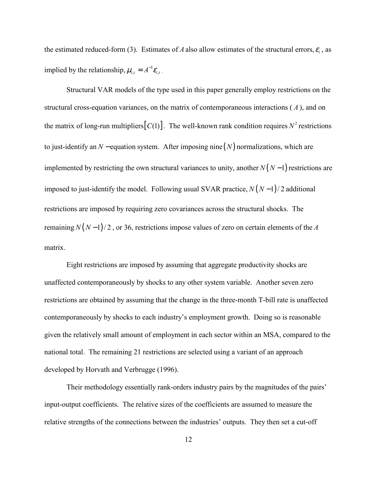the estimated reduced-form (3). Estimates of *A* also allow estimates of the structural errors,  $\varepsilon$ , as implied by the relationship,  $\mu_{i,t} = A^{-1} \varepsilon_{i,t}$ .

Structural VAR models of the type used in this paper generally employ restrictions on the structural cross-equation variances, on the matrix of contemporaneous interactions ( *A* ), and on the matrix of long-run multipliers  $[C(1)]$ . The well-known rank condition requires  $N^2$  restrictions to just-identify an  $N$  – equation system. After imposing nine  $(N)$  normalizations, which are implemented by restricting the own structural variances to unity, another  $N(N-1)$  restrictions are imposed to just-identify the model. Following usual SVAR practice,  $N(N-1)/2$  additional restrictions are imposed by requiring zero covariances across the structural shocks. The remaining  $N(N-1)/2$ , or 36, restrictions impose values of zero on certain elements of the *A* matrix.

Eight restrictions are imposed by assuming that aggregate productivity shocks are unaffected contemporaneously by shocks to any other system variable. Another seven zero restrictions are obtained by assuming that the change in the three-month T-bill rate is unaffected contemporaneously by shocks to each industry's employment growth. Doing so is reasonable given the relatively small amount of employment in each sector within an MSA, compared to the national total. The remaining 21 restrictions are selected using a variant of an approach developed by Horvath and Verbrugge (1996).

Their methodology essentially rank-orders industry pairs by the magnitudes of the pairs' input-output coefficients. The relative sizes of the coefficients are assumed to measure the relative strengths of the connections between the industries' outputs. They then set a cut-off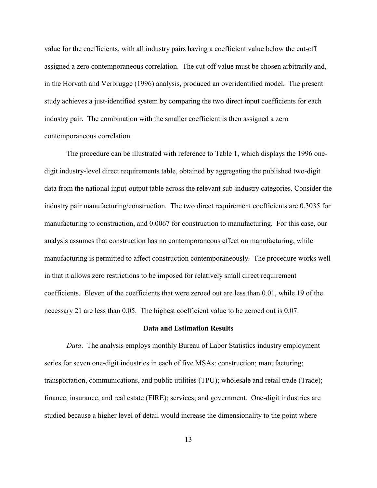value for the coefficients, with all industry pairs having a coefficient value below the cut-off assigned a zero contemporaneous correlation. The cut-off value must be chosen arbitrarily and, in the Horvath and Verbrugge (1996) analysis, produced an overidentified model. The present study achieves a just-identified system by comparing the two direct input coefficients for each industry pair. The combination with the smaller coefficient is then assigned a zero contemporaneous correlation.

The procedure can be illustrated with reference to Table 1, which displays the 1996 onedigit industry-level direct requirements table, obtained by aggregating the published two-digit data from the national input-output table across the relevant sub-industry categories. Consider the industry pair manufacturing/construction. The two direct requirement coefficients are 0.3035 for manufacturing to construction, and 0.0067 for construction to manufacturing. For this case, our analysis assumes that construction has no contemporaneous effect on manufacturing, while manufacturing is permitted to affect construction contemporaneously. The procedure works well in that it allows zero restrictions to be imposed for relatively small direct requirement coefficients. Eleven of the coefficients that were zeroed out are less than 0.01, while 19 of the necessary 21 are less than 0.05. The highest coefficient value to be zeroed out is 0.07.

#### **Data and Estimation Results**

*Data*. The analysis employs monthly Bureau of Labor Statistics industry employment series for seven one-digit industries in each of five MSAs: construction; manufacturing; transportation, communications, and public utilities (TPU); wholesale and retail trade (Trade); finance, insurance, and real estate (FIRE); services; and government. One-digit industries are studied because a higher level of detail would increase the dimensionality to the point where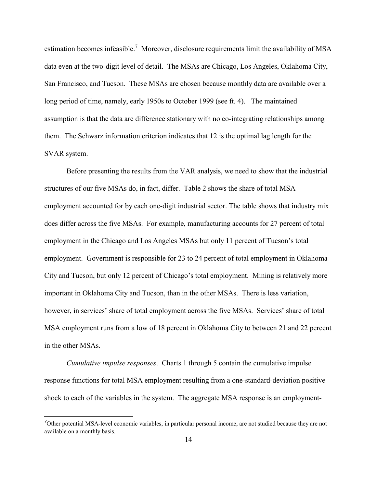estimation becomes infeasible.<sup>7</sup> Moreover, disclosure requirements limit the availability of MSA data even at the two-digit level of detail. The MSAs are Chicago, Los Angeles, Oklahoma City, San Francisco, and Tucson. These MSAs are chosen because monthly data are available over a long period of time, namely, early 1950s to October 1999 (see ft. 4). The maintained assumption is that the data are difference stationary with no co-integrating relationships among them. The Schwarz information criterion indicates that 12 is the optimal lag length for the SVAR system.

Before presenting the results from the VAR analysis, we need to show that the industrial structures of our five MSAs do, in fact, differ. Table 2 shows the share of total MSA employment accounted for by each one-digit industrial sector. The table shows that industry mix does differ across the five MSAs. For example, manufacturing accounts for 27 percent of total employment in the Chicago and Los Angeles MSAs but only 11 percent of Tucson's total employment. Government is responsible for 23 to 24 percent of total employment in Oklahoma City and Tucson, but only 12 percent of Chicago's total employment. Mining is relatively more important in Oklahoma City and Tucson, than in the other MSAs. There is less variation, however, in services' share of total employment across the five MSAs. Services' share of total MSA employment runs from a low of 18 percent in Oklahoma City to between 21 and 22 percent in the other MSAs.

*Cumulative impulse responses*. Charts 1 through 5 contain the cumulative impulse response functions for total MSA employment resulting from a one-standard-deviation positive shock to each of the variables in the system. The aggregate MSA response is an employment-

 $\sigma$ Other potential MSA-level economic variables, in particular personal income, are not studied because they are not available on a monthly basis.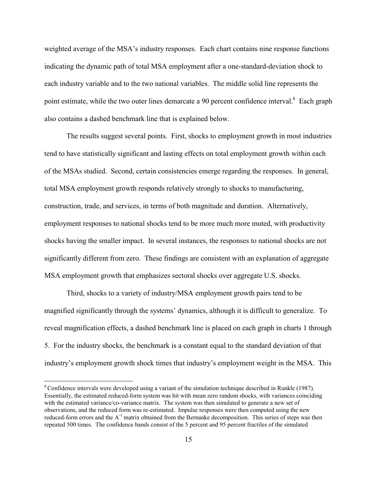weighted average of the MSA's industry responses. Each chart contains nine response functions indicating the dynamic path of total MSA employment after a one-standard-deviation shock to each industry variable and to the two national variables. The middle solid line represents the point estimate, while the two outer lines demarcate a 90 percent confidence interval.<sup>8</sup> Each graph also contains a dashed benchmark line that is explained below.

The results suggest several points. First, shocks to employment growth in most industries tend to have statistically significant and lasting effects on total employment growth within each of the MSAs studied. Second, certain consistencies emerge regarding the responses. In general, total MSA employment growth responds relatively strongly to shocks to manufacturing, construction, trade, and services, in terms of both magnitude and duration. Alternatively, employment responses to national shocks tend to be more much more muted, with productivity shocks having the smaller impact. In several instances, the responses to national shocks are not significantly different from zero. These findings are consistent with an explanation of aggregate MSA employment growth that emphasizes sectoral shocks over aggregate U.S. shocks.

Third, shocks to a variety of industry/MSA employment growth pairs tend to be magnified significantly through the systems' dynamics, although it is difficult to generalize. To reveal magnification effects, a dashed benchmark line is placed on each graph in charts 1 through 5. For the industry shocks, the benchmark is a constant equal to the standard deviation of that industry's employment growth shock times that industry's employment weight in the MSA. This

<sup>8</sup> Confidence intervals were developed using a variant of the simulation technique described in Runkle (1987). Essentially, the estimated reduced-form system was hit with mean zero random shocks, with variances coinciding with the estimated variance/co-variance matrix. The system was then simulated to generate a new set of observations, and the reduced form was re-estimated. Impulse responses were then computed using the new reduced-form errors and the A<sup>-1</sup> matrix obtained from the Bernanke decomposition. This series of steps was then repeated 500 times. The confidence bands consist of the 5 percent and 95 percent fractiles of the simulated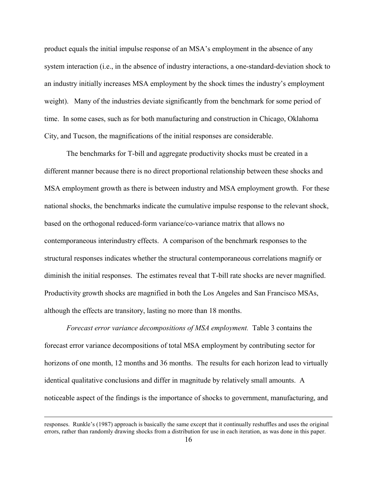product equals the initial impulse response of an MSA's employment in the absence of any system interaction (i.e., in the absence of industry interactions, a one-standard-deviation shock to an industry initially increases MSA employment by the shock times the industry's employment weight). Many of the industries deviate significantly from the benchmark for some period of time. In some cases, such as for both manufacturing and construction in Chicago, Oklahoma City, and Tucson, the magnifications of the initial responses are considerable.

The benchmarks for T-bill and aggregate productivity shocks must be created in a different manner because there is no direct proportional relationship between these shocks and MSA employment growth as there is between industry and MSA employment growth. For these national shocks, the benchmarks indicate the cumulative impulse response to the relevant shock, based on the orthogonal reduced-form variance/co-variance matrix that allows no contemporaneous interindustry effects. A comparison of the benchmark responses to the structural responses indicates whether the structural contemporaneous correlations magnify or diminish the initial responses. The estimates reveal that T-bill rate shocks are never magnified. Productivity growth shocks are magnified in both the Los Angeles and San Francisco MSAs, although the effects are transitory, lasting no more than 18 months.

*Forecast error variance decompositions of MSA employment.* Table 3 contains the forecast error variance decompositions of total MSA employment by contributing sector for horizons of one month, 12 months and 36 months. The results for each horizon lead to virtually identical qualitative conclusions and differ in magnitude by relatively small amounts. A noticeable aspect of the findings is the importance of shocks to government, manufacturing, and

responses. Runkle's (1987) approach is basically the same except that it continually reshuffles and uses the original errors, rather than randomly drawing shocks from a distribution for use in each iteration, as was done in this paper.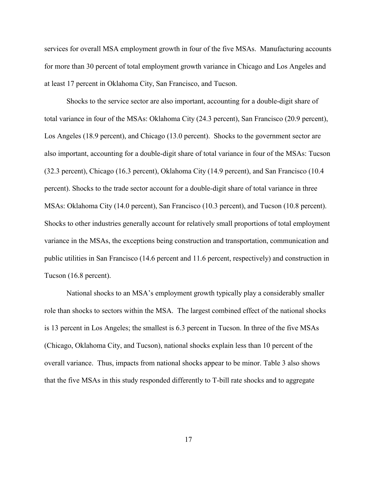services for overall MSA employment growth in four of the five MSAs. Manufacturing accounts for more than 30 percent of total employment growth variance in Chicago and Los Angeles and at least 17 percent in Oklahoma City, San Francisco, and Tucson.

Shocks to the service sector are also important, accounting for a double-digit share of total variance in four of the MSAs: Oklahoma City (24.3 percent), San Francisco (20.9 percent), Los Angeles (18.9 percent), and Chicago (13.0 percent). Shocks to the government sector are also important, accounting for a double-digit share of total variance in four of the MSAs: Tucson (32.3 percent), Chicago (16.3 percent), Oklahoma City (14.9 percent), and San Francisco (10.4 percent). Shocks to the trade sector account for a double-digit share of total variance in three MSAs: Oklahoma City (14.0 percent), San Francisco (10.3 percent), and Tucson (10.8 percent). Shocks to other industries generally account for relatively small proportions of total employment variance in the MSAs, the exceptions being construction and transportation, communication and public utilities in San Francisco (14.6 percent and 11.6 percent, respectively) and construction in Tucson (16.8 percent).

National shocks to an MSA's employment growth typically play a considerably smaller role than shocks to sectors within the MSA. The largest combined effect of the national shocks is 13 percent in Los Angeles; the smallest is 6.3 percent in Tucson. In three of the five MSAs (Chicago, Oklahoma City, and Tucson), national shocks explain less than 10 percent of the overall variance. Thus, impacts from national shocks appear to be minor. Table 3 also shows that the five MSAs in this study responded differently to T-bill rate shocks and to aggregate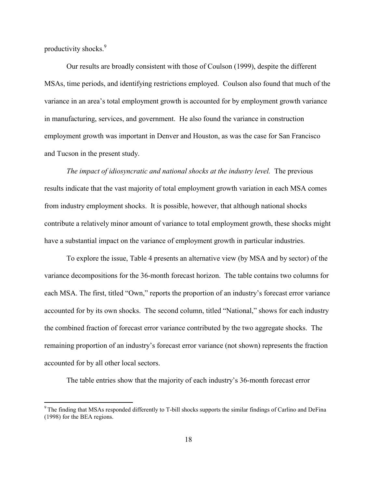productivity shocks.<sup>9</sup>

 $\overline{a}$ 

Our results are broadly consistent with those of Coulson (1999), despite the different MSAs, time periods, and identifying restrictions employed. Coulson also found that much of the variance in an area's total employment growth is accounted for by employment growth variance in manufacturing, services, and government. He also found the variance in construction employment growth was important in Denver and Houston, as was the case for San Francisco and Tucson in the present study.

*The impact of idiosyncratic and national shocks at the industry level.* The previous results indicate that the vast majority of total employment growth variation in each MSA comes from industry employment shocks. It is possible, however, that although national shocks contribute a relatively minor amount of variance to total employment growth, these shocks might have a substantial impact on the variance of employment growth in particular industries.

To explore the issue, Table 4 presents an alternative view (by MSA and by sector) of the variance decompositions for the 36-month forecast horizon. The table contains two columns for each MSA. The first, titled "Own," reports the proportion of an industry's forecast error variance accounted for by its own shocks. The second column, titled "National," shows for each industry the combined fraction of forecast error variance contributed by the two aggregate shocks. The remaining proportion of an industry's forecast error variance (not shown) represents the fraction accounted for by all other local sectors.

The table entries show that the majority of each industry's 36-month forecast error

 $9$  The finding that MSAs responded differently to T-bill shocks supports the similar findings of Carlino and DeFina (1998) for the BEA regions.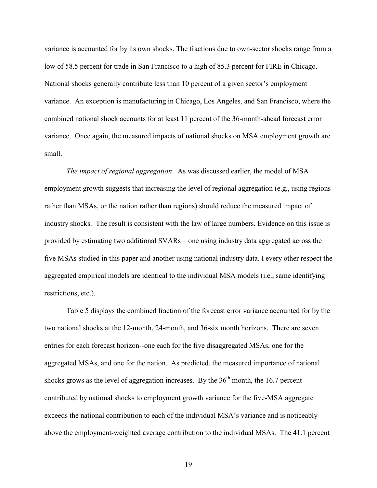variance is accounted for by its own shocks. The fractions due to own-sector shocks range from a low of 58.5 percent for trade in San Francisco to a high of 85.3 percent for FIRE in Chicago. National shocks generally contribute less than 10 percent of a given sector's employment variance. An exception is manufacturing in Chicago, Los Angeles, and San Francisco, where the combined national shock accounts for at least 11 percent of the 36-month-ahead forecast error variance. Once again, the measured impacts of national shocks on MSA employment growth are small.

*The impact of regional aggregation*. As was discussed earlier, the model of MSA employment growth suggests that increasing the level of regional aggregation (e.g., using regions rather than MSAs, or the nation rather than regions) should reduce the measured impact of industry shocks. The result is consistent with the law of large numbers. Evidence on this issue is provided by estimating two additional SVARs – one using industry data aggregated across the five MSAs studied in this paper and another using national industry data. I every other respect the aggregated empirical models are identical to the individual MSA models (i.e., same identifying restrictions, etc.).

Table 5 displays the combined fraction of the forecast error variance accounted for by the two national shocks at the 12-month, 24-month, and 36-six month horizons. There are seven entries for each forecast horizon--one each for the five disaggregated MSAs, one for the aggregated MSAs, and one for the nation. As predicted, the measured importance of national shocks grows as the level of aggregation increases. By the  $36<sup>th</sup>$  month, the 16.7 percent contributed by national shocks to employment growth variance for the five-MSA aggregate exceeds the national contribution to each of the individual MSA's variance and is noticeably above the employment-weighted average contribution to the individual MSAs. The 41.1 percent

19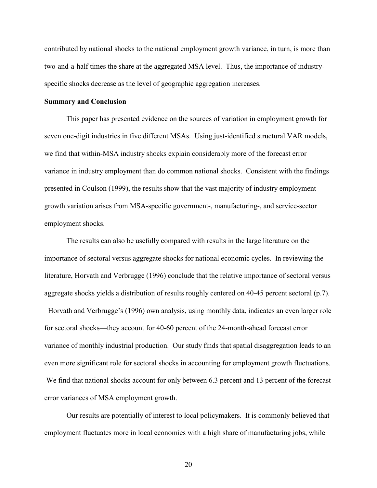contributed by national shocks to the national employment growth variance, in turn, is more than two-and-a-half times the share at the aggregated MSA level. Thus, the importance of industryspecific shocks decrease as the level of geographic aggregation increases.

#### **Summary and Conclusion**

This paper has presented evidence on the sources of variation in employment growth for seven one-digit industries in five different MSAs. Using just-identified structural VAR models, we find that within-MSA industry shocks explain considerably more of the forecast error variance in industry employment than do common national shocks. Consistent with the findings presented in Coulson (1999), the results show that the vast majority of industry employment growth variation arises from MSA-specific government-, manufacturing-, and service-sector employment shocks.

The results can also be usefully compared with results in the large literature on the importance of sectoral versus aggregate shocks for national economic cycles. In reviewing the literature, Horvath and Verbrugge (1996) conclude that the relative importance of sectoral versus aggregate shocks yields a distribution of results roughly centered on 40-45 percent sectoral (p.7). Horvath and Verbrugge's (1996) own analysis, using monthly data, indicates an even larger role for sectoral shocks—they account for 40-60 percent of the 24-month-ahead forecast error variance of monthly industrial production. Our study finds that spatial disaggregation leads to an even more significant role for sectoral shocks in accounting for employment growth fluctuations. We find that national shocks account for only between 6.3 percent and 13 percent of the forecast error variances of MSA employment growth.

 Our results are potentially of interest to local policymakers. It is commonly believed that employment fluctuates more in local economies with a high share of manufacturing jobs, while

20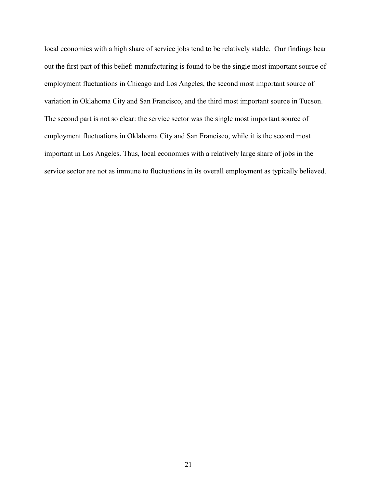local economies with a high share of service jobs tend to be relatively stable. Our findings bear out the first part of this belief: manufacturing is found to be the single most important source of employment fluctuations in Chicago and Los Angeles, the second most important source of variation in Oklahoma City and San Francisco, and the third most important source in Tucson. The second part is not so clear: the service sector was the single most important source of employment fluctuations in Oklahoma City and San Francisco, while it is the second most important in Los Angeles. Thus, local economies with a relatively large share of jobs in the service sector are not as immune to fluctuations in its overall employment as typically believed.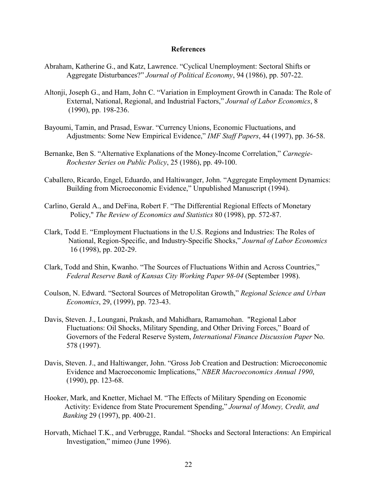#### **References**

- Abraham, Katherine G., and Katz, Lawrence. "Cyclical Unemployment: Sectoral Shifts or Aggregate Disturbances?" *Journal of Political Economy*, 94 (1986), pp. 507-22.
- Altonji, Joseph G., and Ham, John C. "Variation in Employment Growth in Canada: The Role of External, National, Regional, and Industrial Factors," *Journal of Labor Economics*, 8 (1990), pp. 198-236.
- Bayoumi, Tamin, and Prasad, Eswar. "Currency Unions, Economic Fluctuations, and Adjustments: Some New Empirical Evidence," *IMF Staff Papers*, 44 (1997), pp. 36-58.
- Bernanke, Ben S. "Alternative Explanations of the Money-Income Correlation," *Carnegie-Rochester Series on Public Policy*, 25 (1986), pp. 49-100.
- Caballero, Ricardo, Engel, Eduardo, and Haltiwanger, John. "Aggregate Employment Dynamics: Building from Microeconomic Evidence," Unpublished Manuscript (1994).
- Carlino, Gerald A., and DeFina, Robert F. "The Differential Regional Effects of Monetary Policy," *The Review of Economics and Statistics* 80 (1998), pp. 572-87.
- Clark, Todd E. "Employment Fluctuations in the U.S. Regions and Industries: The Roles of National, Region-Specific, and Industry-Specific Shocks," *Journal of Labor Economics*  16 (1998), pp. 202-29.
- Clark, Todd and Shin, Kwanho. "The Sources of Fluctuations Within and Across Countries," *Federal Reserve Bank of Kansas City Working Paper 98-04* (September 1998).
- Coulson, N. Edward. "Sectoral Sources of Metropolitan Growth," *Regional Science and Urban Economics*, 29, (1999), pp. 723-43.
- Davis, Steven. J., Loungani, Prakash, and Mahidhara, Ramamohan. "Regional Labor Fluctuations: Oil Shocks, Military Spending, and Other Driving Forces," Board of Governors of the Federal Reserve System, *International Finance Discussion Paper* No. 578 (1997).
- Davis, Steven. J., and Haltiwanger, John. "Gross Job Creation and Destruction: Microeconomic Evidence and Macroeconomic Implications," *NBER Macroeconomics Annual 1990*, (1990), pp. 123-68.
- Hooker, Mark, and Knetter, Michael M. "The Effects of Military Spending on Economic Activity: Evidence from State Procurement Spending," *Journal of Money, Credit, and Banking* 29 (1997), pp. 400-21.
- Horvath, Michael T.K., and Verbrugge, Randal. "Shocks and Sectoral Interactions: An Empirical Investigation," mimeo (June 1996).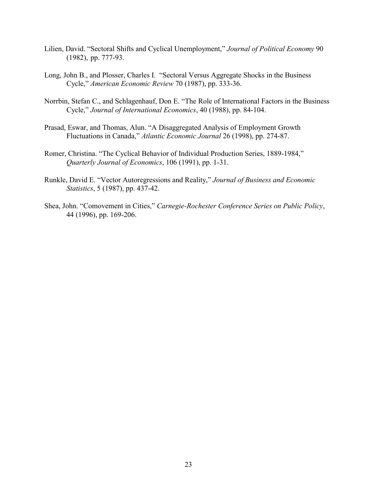- Lilien, David. "Sectoral Shifts and Cyclical Unemployment," *Journal of Political Economy* 90 (1982), pp. 777-93.
- Long, John B., and Plosser, Charles I. "Sectoral Versus Aggregate Shocks in the Business Cycle," *American Economic Review* 70 (1987), pp. 333-36.
- Norrbin, Stefan C., and Schlagenhauf, Don E. "The Role of International Factors in the Business Cycle," *Journal of International Economics*, 40 (1988), pp. 84-104.
- Prasad, Eswar, and Thomas, Alun. "A Disaggregated Analysis of Employment Growth Fluctuations in Canada," *Atlantic Economic Journal* 26 (1998), pp. 274-87.
- Romer, Christina. "The Cyclical Behavior of Individual Production Series, 1889-1984," *Quarterly Journal of Economics*, 106 (1991), pp. 1-31.
- Runkle, David E. "Vector Autoregressions and Reality," *Journal of Business and Economic Statistics*, 5 (1987), pp. 437-42.
- Shea, John. "Comovement in Cities," *Carnegie-Rochester Conference Series on Public Policy*, 44 (1996), pp. 169-206.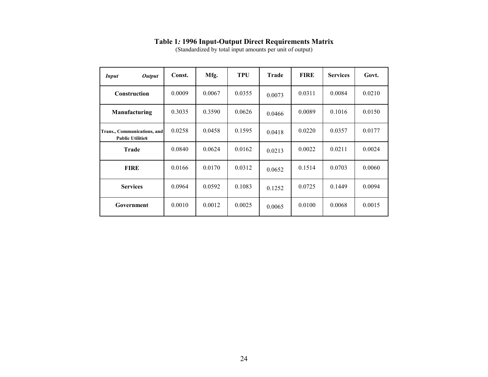|  |  |  | <b>Table 1: 1996 Input-Output Direct Requirements Matrix</b> |
|--|--|--|--------------------------------------------------------------|
|--|--|--|--------------------------------------------------------------|

(Standardized by total input amounts per unit of output)

| <b>Output</b><br><i>Input</i>                          | Const. | Mfg.   | TPU    | <b>Trade</b> | <b>FIRE</b> | <b>Services</b> | Govt.  |
|--------------------------------------------------------|--------|--------|--------|--------------|-------------|-----------------|--------|
| Construction                                           | 0.0009 | 0.0067 | 0.0355 | 0.0073       | 0.0311      | 0.0084          | 0.0210 |
| Manufacturing                                          | 0.3035 | 0.3590 | 0.0626 | 0.0466       | 0.0089      | 0.1016          | 0.0150 |
| Trans., Communications, and<br><b>Public Utilities</b> | 0.0258 | 0.0458 | 0.1595 | 0.0418       | 0.0220      | 0.0357          | 0.0177 |
| <b>Trade</b>                                           | 0.0840 | 0.0624 | 0.0162 | 0.0213       | 0.0022      | 0.0211          | 0.0024 |
| <b>FIRE</b>                                            | 0.0166 | 0.0170 | 0.0312 | 0.0652       | 0.1514      | 0.0703          | 0.0060 |
| <b>Services</b>                                        | 0.0964 | 0.0592 | 0.1083 | 0.1252       | 0.0725      | 0.1449          | 0.0094 |
| Government                                             | 0.0010 | 0.0012 | 0.0025 | 0.0065       | 0.0100      | 0.0068          | 0.0015 |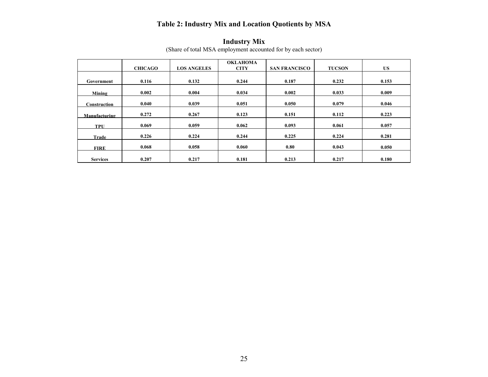## **Table 2: Industry Mix and Location Quotients by MSA**

|                 |                |                    | <b>OKLAHOMA</b> |                      |               |       |
|-----------------|----------------|--------------------|-----------------|----------------------|---------------|-------|
|                 | <b>CHICAGO</b> | <b>LOS ANGELES</b> | <b>CITY</b>     | <b>SAN FRANCISCO</b> | <b>TUCSON</b> | US.   |
|                 |                |                    |                 |                      |               |       |
| Government      | 0.116          | 0.132              | 0.244           | 0.187                | 0.232         | 0.153 |
| Mining          | 0.002          | 0.004              | 0.034           | 0.002                | 0.033         | 0.009 |
| Construction    | 0.040          | 0.039              | 0.051           | 0.050                | 0.079         | 0.046 |
| Manufacturing   | 0.272          | 0.267              | 0.123           | 0.151                | 0.112         | 0.223 |
| <b>TPU</b>      | 0.069          | 0.059              | 0.062           | 0.093                | 0.061         | 0.057 |
| Trade           | 0.226          | 0.224              | 0.244           | 0.225                | 0.224         | 0.281 |
| <b>FIRE</b>     | 0.068          | 0.058              | 0.060           | 0.80                 | 0.043         | 0.050 |
| <b>Services</b> | 0.207          | 0.217              | 0.181           | 0.213                | 0.217         | 0.180 |

#### **Industry Mix**

(Share of total MSA employment accounted for by each sector)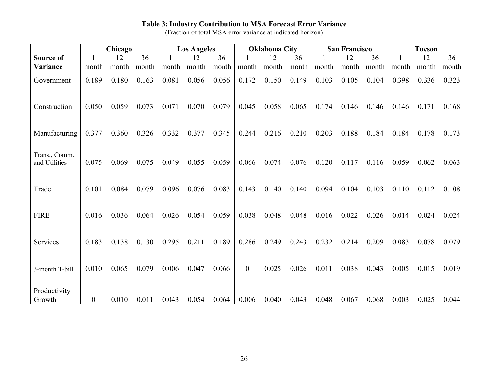#### **Table 3: Industry Contribution to MSA Forecast Error Variance**

(Fraction of total MSA error variance at indicated horizon)

|                                 | Chicago        |       | <b>Los Angeles</b> |       | <b>Oklahoma City</b> |       |              | <b>San Francisco</b> |       |       | <b>Tucson</b> |       |       |       |       |
|---------------------------------|----------------|-------|--------------------|-------|----------------------|-------|--------------|----------------------|-------|-------|---------------|-------|-------|-------|-------|
| Source of                       |                | 12    | 36                 |       | 12                   | 36    |              | 12                   | 36    |       | 12            | 36    |       | 12    | 36    |
| Variance                        | month          | month | month              | month | month                | month | month        | month                | month | month | month         | month | month | month | month |
| Government                      | 0.189          | 0.180 | 0.163              | 0.081 | 0.056                | 0.056 | 0.172        | 0.150                | 0.149 | 0.103 | 0.105         | 0.104 | 0.398 | 0.336 | 0.323 |
| Construction                    | 0.050          | 0.059 | 0.073              | 0.071 | 0.070                | 0.079 | 0.045        | 0.058                | 0.065 | 0.174 | 0.146         | 0.146 | 0.146 | 0.171 | 0.168 |
| Manufacturing                   | 0.377          | 0.360 | 0.326              | 0.332 | 0.377                | 0.345 | 0.244        | 0.216                | 0.210 | 0.203 | 0.188         | 0.184 | 0.184 | 0.178 | 0.173 |
| Trans., Comm.,<br>and Utilities | 0.075          | 0.069 | 0.075              | 0.049 | 0.055                | 0.059 | 0.066        | 0.074                | 0.076 | 0.120 | 0.117         | 0.116 | 0.059 | 0.062 | 0.063 |
| Trade                           | 0.101          | 0.084 | 0.079              | 0.096 | 0.076                | 0.083 | 0.143        | 0.140                | 0.140 | 0.094 | 0.104         | 0.103 | 0.110 | 0.112 | 0.108 |
| <b>FIRE</b>                     | 0.016          | 0.036 | 0.064              | 0.026 | 0.054                | 0.059 | 0.038        | 0.048                | 0.048 | 0.016 | 0.022         | 0.026 | 0.014 | 0.024 | 0.024 |
| Services                        | 0.183          | 0.138 | 0.130              | 0.295 | 0.211                | 0.189 | 0.286        | 0.249                | 0.243 | 0.232 | 0.214         | 0.209 | 0.083 | 0.078 | 0.079 |
| 3-month T-bill                  | 0.010          | 0.065 | 0.079              | 0.006 | 0.047                | 0.066 | $\mathbf{0}$ | 0.025                | 0.026 | 0.011 | 0.038         | 0.043 | 0.005 | 0.015 | 0.019 |
| Productivity<br>Growth          | $\overline{0}$ | 0.010 | 0.011              | 0.043 | 0.054                | 0.064 | 0.006        | 0.040                | 0.043 | 0.048 | 0.067         | 0.068 | 0.003 | 0.025 | 0.044 |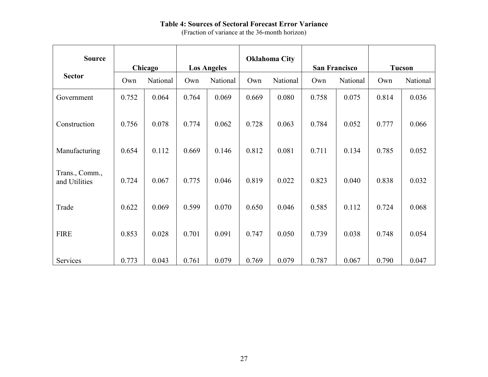### **Table 4: Sources of Sectoral Forecast Error Variance**

(Fraction of variance at the 36-month horizon)

| <b>Source</b>                   | Chicago |          |       |          | <b>Oklahoma City</b> |          | <b>Los Angeles</b> |          |       |          | San Francisco |  | <b>Tucson</b> |  |
|---------------------------------|---------|----------|-------|----------|----------------------|----------|--------------------|----------|-------|----------|---------------|--|---------------|--|
| <b>Sector</b>                   | Own     | National | Own   | National | Own                  | National | Own                | National | Own   | National |               |  |               |  |
| Government                      | 0.752   | 0.064    | 0.764 | 0.069    | 0.669                | 0.080    | 0.758              | 0.075    | 0.814 | 0.036    |               |  |               |  |
| Construction                    | 0.756   | 0.078    | 0.774 | 0.062    | 0.728                | 0.063    | 0.784              | 0.052    | 0.777 | 0.066    |               |  |               |  |
| Manufacturing                   | 0.654   | 0.112    | 0.669 | 0.146    | 0.812                | 0.081    | 0.711              | 0.134    | 0.785 | 0.052    |               |  |               |  |
| Trans., Comm.,<br>and Utilities | 0.724   | 0.067    | 0.775 | 0.046    | 0.819                | 0.022    | 0.823              | 0.040    | 0.838 | 0.032    |               |  |               |  |
| Trade                           | 0.622   | 0.069    | 0.599 | 0.070    | 0.650                | 0.046    | 0.585              | 0.112    | 0.724 | 0.068    |               |  |               |  |
| <b>FIRE</b>                     | 0.853   | 0.028    | 0.701 | 0.091    | 0.747                | 0.050    | 0.739              | 0.038    | 0.748 | 0.054    |               |  |               |  |
| Services                        | 0.773   | 0.043    | 0.761 | 0.079    | 0.769                | 0.079    | 0.787              | 0.067    | 0.790 | 0.047    |               |  |               |  |